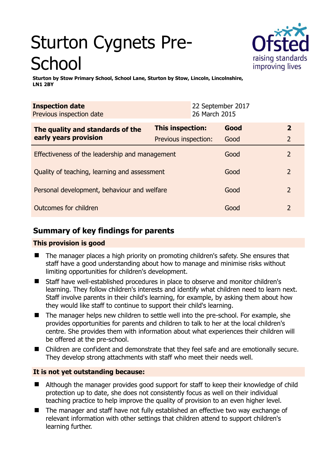# Sturton Cygnets Pre-**School**



**Sturton by Stow Primary School, School Lane, Sturton by Stow, Lincoln, Lincolnshire, LN1 2BY** 

| <b>Inspection date</b><br>Previous inspection date        |                         | 22 September 2017<br>26 March 2015 |      |               |
|-----------------------------------------------------------|-------------------------|------------------------------------|------|---------------|
| The quality and standards of the<br>early years provision | <b>This inspection:</b> |                                    | Good | $\mathbf{2}$  |
|                                                           | Previous inspection:    |                                    | Good | 2             |
| Effectiveness of the leadership and management            |                         |                                    | Good | 2             |
| Quality of teaching, learning and assessment              |                         |                                    | Good | $\mathcal{P}$ |
| Personal development, behaviour and welfare               |                         |                                    | Good | $\mathcal{P}$ |
| Outcomes for children                                     |                         |                                    | Good | 2             |

# **Summary of key findings for parents**

## **This provision is good**

- The manager places a high priority on promoting children's safety. She ensures that staff have a good understanding about how to manage and minimise risks without limiting opportunities for children's development.
- Staff have well-established procedures in place to observe and monitor children's learning. They follow children's interests and identify what children need to learn next. Staff involve parents in their child's learning, for example, by asking them about how they would like staff to continue to support their child's learning.
- The manager helps new children to settle well into the pre-school. For example, she provides opportunities for parents and children to talk to her at the local children's centre. She provides them with information about what experiences their children will be offered at the pre-school.
- Children are confident and demonstrate that they feel safe and are emotionally secure. They develop strong attachments with staff who meet their needs well.

## **It is not yet outstanding because:**

- Although the manager provides good support for staff to keep their knowledge of child protection up to date, she does not consistently focus as well on their individual teaching practice to help improve the quality of provision to an even higher level.
- The manager and staff have not fully established an effective two way exchange of relevant information with other settings that children attend to support children's learning further.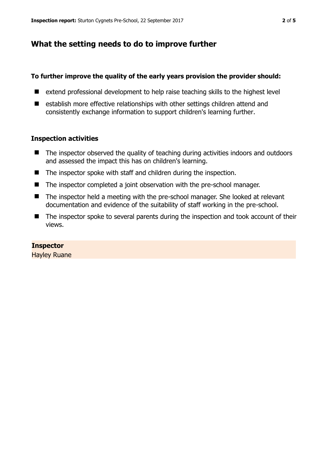## **What the setting needs to do to improve further**

#### **To further improve the quality of the early years provision the provider should:**

- $\blacksquare$  extend professional development to help raise teaching skills to the highest level
- establish more effective relationships with other settings children attend and consistently exchange information to support children's learning further.

#### **Inspection activities**

- The inspector observed the quality of teaching during activities indoors and outdoors and assessed the impact this has on children's learning.
- The inspector spoke with staff and children during the inspection.
- The inspector completed a joint observation with the pre-school manager.
- The inspector held a meeting with the pre-school manager. She looked at relevant documentation and evidence of the suitability of staff working in the pre-school.
- The inspector spoke to several parents during the inspection and took account of their views.

#### **Inspector**

Hayley Ruane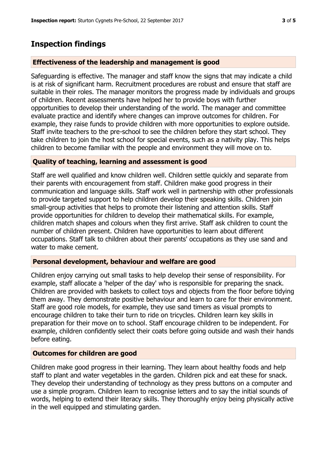# **Inspection findings**

#### **Effectiveness of the leadership and management is good**

Safeguarding is effective. The manager and staff know the signs that may indicate a child is at risk of significant harm. Recruitment procedures are robust and ensure that staff are suitable in their roles. The manager monitors the progress made by individuals and groups of children. Recent assessments have helped her to provide boys with further opportunities to develop their understanding of the world. The manager and committee evaluate practice and identify where changes can improve outcomes for children. For example, they raise funds to provide children with more opportunities to explore outside. Staff invite teachers to the pre-school to see the children before they start school. They take children to join the host school for special events, such as a nativity play. This helps children to become familiar with the people and environment they will move on to.

### **Quality of teaching, learning and assessment is good**

Staff are well qualified and know children well. Children settle quickly and separate from their parents with encouragement from staff. Children make good progress in their communication and language skills. Staff work well in partnership with other professionals to provide targeted support to help children develop their speaking skills. Children join small-group activities that helps to promote their listening and attention skills. Staff provide opportunities for children to develop their mathematical skills. For example, children match shapes and colours when they first arrive. Staff ask children to count the number of children present. Children have opportunities to learn about different occupations. Staff talk to children about their parents' occupations as they use sand and water to make cement.

#### **Personal development, behaviour and welfare are good**

Children enjoy carrying out small tasks to help develop their sense of responsibility. For example, staff allocate a 'helper of the day' who is responsible for preparing the snack. Children are provided with baskets to collect toys and objects from the floor before tidying them away. They demonstrate positive behaviour and learn to care for their environment. Staff are good role models, for example, they use sand timers as visual prompts to encourage children to take their turn to ride on tricycles. Children learn key skills in preparation for their move on to school. Staff encourage children to be independent. For example, children confidently select their coats before going outside and wash their hands before eating.

## **Outcomes for children are good**

Children make good progress in their learning. They learn about healthy foods and help staff to plant and water vegetables in the garden. Children pick and eat these for snack. They develop their understanding of technology as they press buttons on a computer and use a simple program. Children learn to recognise letters and to say the initial sounds of words, helping to extend their literacy skills. They thoroughly enjoy being physically active in the well equipped and stimulating garden.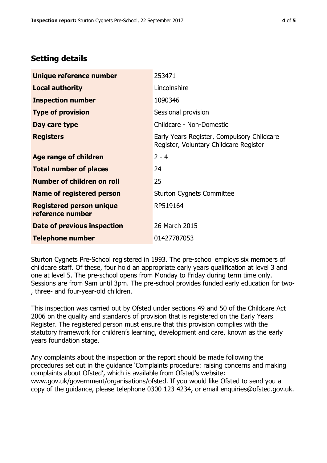# **Setting details**

| Unique reference number                             | 253471                                                                               |  |
|-----------------------------------------------------|--------------------------------------------------------------------------------------|--|
| <b>Local authority</b>                              | Lincolnshire                                                                         |  |
| <b>Inspection number</b>                            | 1090346                                                                              |  |
| <b>Type of provision</b>                            | Sessional provision                                                                  |  |
| Day care type                                       | Childcare - Non-Domestic                                                             |  |
| <b>Registers</b>                                    | Early Years Register, Compulsory Childcare<br>Register, Voluntary Childcare Register |  |
| Age range of children                               | $2 - 4$                                                                              |  |
| <b>Total number of places</b>                       | 24                                                                                   |  |
| Number of children on roll                          | 25                                                                                   |  |
| Name of registered person                           | <b>Sturton Cygnets Committee</b>                                                     |  |
| <b>Registered person unique</b><br>reference number | RP519164                                                                             |  |
| Date of previous inspection                         | 26 March 2015                                                                        |  |
| <b>Telephone number</b>                             | 01427787053                                                                          |  |

Sturton Cygnets Pre-School registered in 1993. The pre-school employs six members of childcare staff. Of these, four hold an appropriate early years qualification at level 3 and one at level 5. The pre-school opens from Monday to Friday during term time only. Sessions are from 9am until 3pm. The pre-school provides funded early education for two- , three- and four-year-old children.

This inspection was carried out by Ofsted under sections 49 and 50 of the Childcare Act 2006 on the quality and standards of provision that is registered on the Early Years Register. The registered person must ensure that this provision complies with the statutory framework for children's learning, development and care, known as the early years foundation stage.

Any complaints about the inspection or the report should be made following the procedures set out in the guidance 'Complaints procedure: raising concerns and making complaints about Ofsted', which is available from Ofsted's website: www.gov.uk/government/organisations/ofsted. If you would like Ofsted to send you a copy of the guidance, please telephone 0300 123 4234, or email enquiries@ofsted.gov.uk.